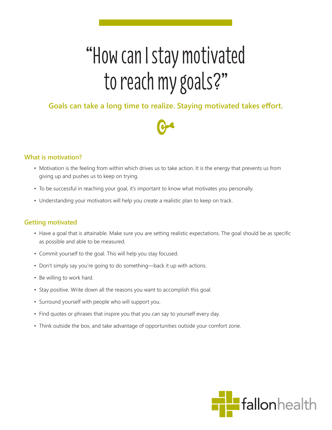# "How can I stay motivated to reach my goals?"

# **Goals can take a long time to realize. Staying motivated takes effort.**



## **What is motivation?**

- Motivation is the feeling from within which drives us to take action. It is the energy that prevents us from giving up and pushes us to keep on trying.
- To be successful in reaching your goal, it's important to know what motivates you personally.
- Understanding your motivators will help you create a realistic plan to keep on track.

### **Getting motivated**

- Have a goal that is attainable. Make sure you are setting realistic expectations. The goal should be as specific as possible and able to be measured.
- Commit yourself to the goal. This will help you stay focused.
- Don't simply say you're going to do something—back it up with actions.
- Be willing to work hard.
- Stay positive. Write down all the reasons you want to accomplish this goal.
- Surround yourself with people who will support you.
- Find quotes or phrases that inspire you that you can say to yourself every day.
- Think outside the box, and take advantage of opportunities outside your comfort zone.